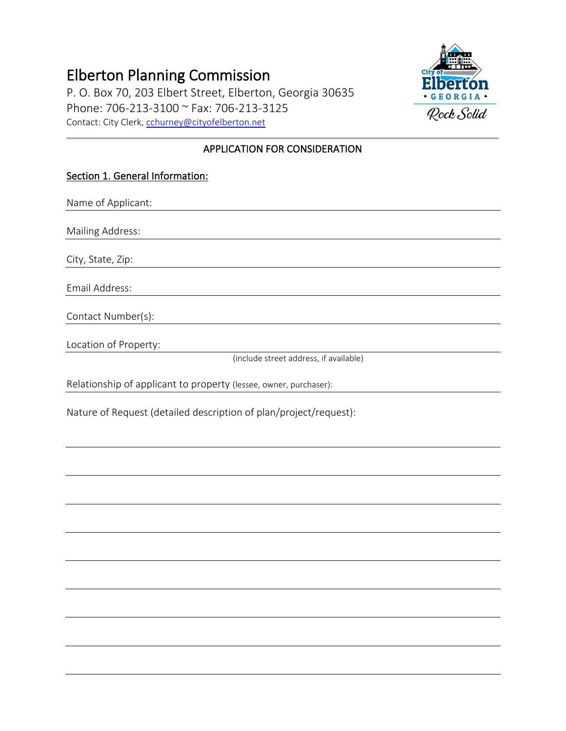# Elberton Planning Commission

P. O. Box 70, 203 Elbert Street, Elberton, Georgia 30635 Phone: 706-213-3100 ~ Fax: 706-213-3125 Contact: City Clerk, [cchurney@cityofelberton.net](mailto:cchurney@cityofelberton.net)



### APPLICATION FOR CONSIDERATION

## Section 1. General Information:

Name of Applicant: Mailing Address: City, State, Zip: Email Address: Contact Number(s):

Location of Property:

(include street address, if available)

Relationship of applicant to property (lessee, owner, purchaser):

Nature of Request (detailed description of plan/project/request):